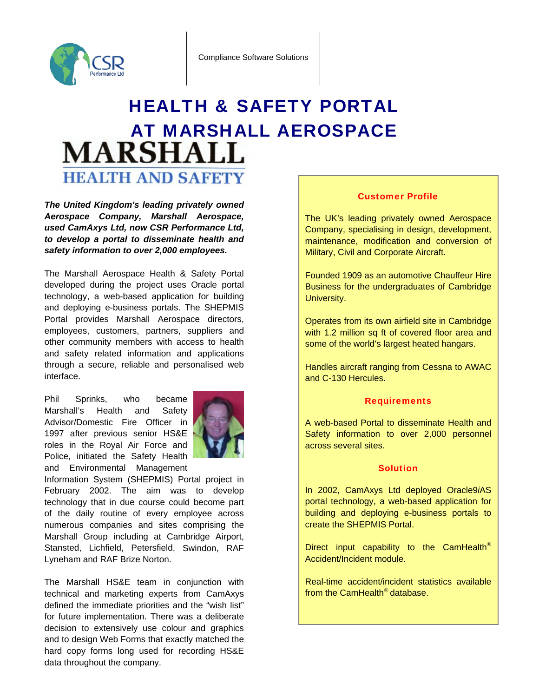

## HEALTH & SAFETY PORTAL AT MARSHALL AEROSPACE **MARSHALL HEALTH AND SAFETY**

*The United Kingdom's leading privately owned Aerospace Company, Marshall Aerospace, used CamAxys Ltd, now CSR Performance Ltd, to develop a portal to disseminate health and safety information to over 2,000 employees.* 

The Marshall Aerospace Health & Safety Portal developed during the project uses Oracle portal technology, a web-based application for building and deploying e-business portals. The SHEPMIS Portal provides Marshall Aerospace directors, employees, customers, partners, suppliers and other community members with access to health and safety related information and applications through a secure, reliable and personalised web interface.

Phil Sprinks, who became Marshall's Health and Safety Advisor/Domestic Fire Officer in 1997 after previous senior HS&E roles in the Royal Air Force and Police, initiated the Safety Health and Environmental Management



Information System (SHEPMIS) Portal project in February 2002. The aim was to develop technology that in due course could become part of the daily routine of every employee across numerous companies and sites comprising the Marshall Group including at Cambridge Airport, Stansted, Lichfield, Petersfield, Swindon, RAF Lyneham and RAF Brize Norton.

data throughout the company. The Marshall HS&E team in conjunction with technical and marketing experts from CamAxys defined the immediate priorities and the "wish list" for future implementation. There was a deliberate decision to extensively use colour and graphics and to design Web Forms that exactly matched the hard copy forms long used for recording HS&E

## Customer Profile

The UK's leading privately owned Aerospace Company, specialising in design, development, maintenance, modification and conversion of Military, Civil and Corporate Aircraft.

Founded 1909 as an automotive Chauffeur Hire Business for the undergraduates of Cambridge University.

Operates from its own airfield site in Cambridge with 1.2 million sq ft of covered floor area and some of the world's largest heated hangars.

Handles aircraft ranging from Cessna to AWAC and C-130 Hercules.

## **Requirements**

A web-based Portal to disseminate Health and Safety information to over 2,000 personnel across several sites.

## Solution

In 2002, CamAxys Ltd deployed Oracle9*i*AS portal technology, a web-based application for building and deploying e-business portals to create the SHEPMIS Portal.

Direct input capability to the CamHealth<sup>®</sup> Accident/Incident module.

Real-time accident/incident statistics available from the CamHealth® database.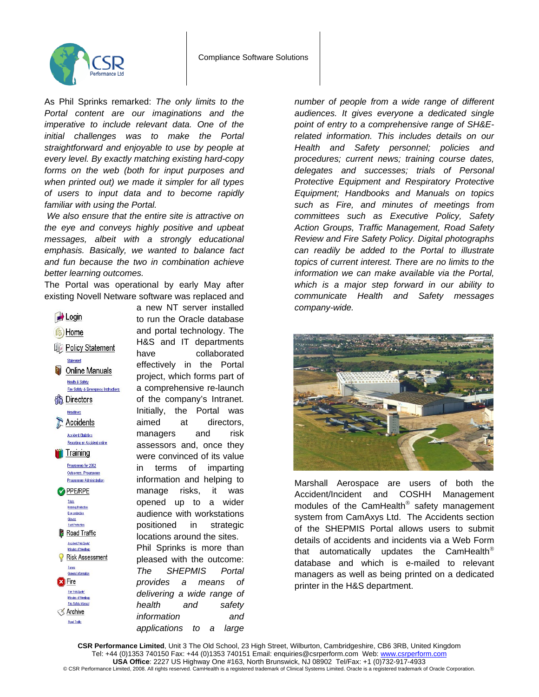

As Phil Sprinks remarked: *The only limits to the Portal content are our imaginations and the imperative to include relevant data. One of the initial challenges was to make the Portal straightforward and enjoyable to use by people at every level. By exactly matching existing hard-copy forms on the web (both for input purposes and when printed out) we made it simpler for all types of users to input data and to become rapidly familiar with using the Portal.* 

 *We also ensure that the entire site is attractive on the eye and conveys highly positive and upbeat messages, albeit with a strongly educational emphasis. Basically, we wanted to balance fact and fun because the two in combination achieve better learning outcomes.* 

The Portal was operational by early May after existing Novell Netware software was replaced and



a new NT server installed to run the Oracle database and portal technology. The H&S and IT departments have collaborated effectively in the Portal project, which forms part of a comprehensive re-launch of the company's Intranet. Initially, the Portal was aimed at directors, managers and risk assessors and, once they were convinced of its value in terms of imparting information and helping to manage risks, it was opened up to a wider audience with workstations positioned in strategic locations around the sites. Phil Sprinks is more than pleased with the outcome: *The SHEPMIS Portal provides a means of delivering a wide range of health and safety information and applications to a large* 

*number of people from a wide range of different audiences. It gives everyone a dedicated single point of entry to a comprehensive range of SH&Erelated information. This includes details on our Health and Safety personnel; policies and procedures; current news; training course dates, delegates and successes; trials of Personal Protective Equipment and Respiratory Protective Equipment; Handbooks and Manuals on topics such as Fire, and minutes of meetings from committees such as Executive Policy, Safety Action Groups, Traffic Management, Road Safety Review and Fire Safety Policy. Digital photographs can readily be added to the Portal to illustrate topics of current interest. There are no limits to the information we can make available via the Portal, which is a major step forward in our ability to communicate Health and Safety messages company-wide.* 



Marshall Aerospace are users of both the Accident/Incident and COSHH Management modules of the CamHealth® safety management system from CamAxys Ltd. The Accidents section of the SHEPMIS Portal allows users to submit details of accidents and incidents via a Web Form that automatically updates the CamHealth<sup>®</sup> database and which is e-mailed to relevant managers as well as being printed on a dedicated printer in the H&S department.

CSR Performance Limited, Unit 3 The Old School, 23 High Street, Wilburton, Cambridgeshire, CB6 3RB, United Kingdom Tel: +44 (0)1353 740150 Fax: +44 (0)1353 740151 Email: enquiries@csrperform.com Web: www.csrperform.com **USA Office**: 2227 US Highway One #163, North Brunswick, NJ 08902 Tel/Fax: +1 (0)732-917-4933 © CSR Performance Limited, 2008. All rights reserved. CamHealth is a registered trademark of Clinical Systems Limited. Oracle is a registered trademark of Oracle Corporation.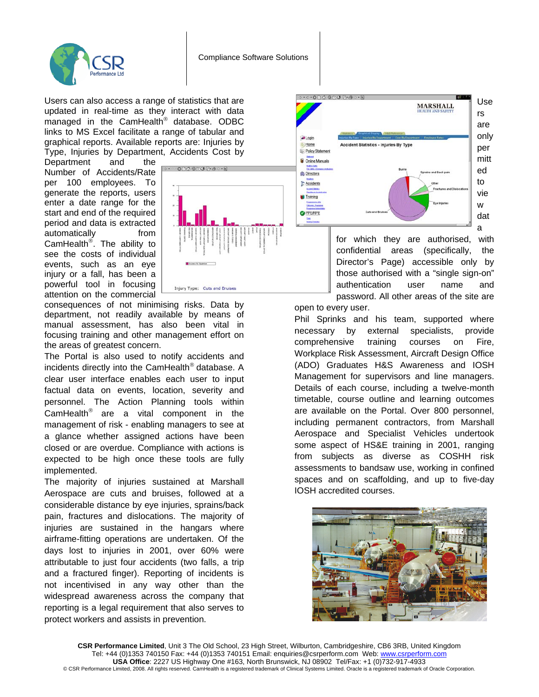

Users can also access a range of statistics that are updated in real-time as they interact with data managed in the CamHealth® database. ODBC links to MS Excel facilitate a range of tabular and graphical reports. Available reports are: Injuries by Type, Injuries by Department, Accidents Cost by

Department and the Number of Accidents/Rate per 100 employees. To generate the reports, users enter a date range for the start and end of the required period and data is extracted automatically from CamHealth®. The ability to see the costs of individual events, such as an eye injury or a fall, has been a powerful tool in focusing attention on the commercial



consequences of not minimising risks. Data by department, not readily available by means of manual assessment, has also been vital in focusing training and other management effort on the areas of greatest concern.

The Portal is also used to notify accidents and incidents directly into the CamHealth® database. A clear user interface enables each user to input factual data on events, location, severity and personnel. The Action Planning tools within CamHealth® are a vital component in the management of risk - enabling managers to see at a glance whether assigned actions have been closed or are overdue. Compliance with actions is expected to be high once these tools are fully implemented.

The majority of injuries sustained at Marshall Aerospace are cuts and bruises, followed at a considerable distance by eye injuries, sprains/back pain, fractures and dislocations. The majority of injuries are sustained in the hangars where airframe-fitting operations are undertaken. Of the days lost to injuries in 2001, over 60% were attributable to just four accidents (two falls, a trip and a fractured finger). Reporting of incidents is not incentivised in any way other than the widespread awareness across the company that reporting is a legal requirement that also serves to protect workers and assists in prevention.



for which they are authorised, with confidential areas (specifically, the Director's Page) accessible only by those authorised with a "single sign-on" authentication user name and password. All other areas of the site are

open to every user.

Phil Sprinks and his team, supported where necessary by external specialists, provide comprehensive training courses on Fire, Workplace Risk Assessment, Aircraft Design Office (ADO) Graduates H&S Awareness and IOSH Management for supervisors and line managers. Details of each course, including a twelve-month timetable, course outline and learning outcomes are available on the Portal. Over 800 personnel, including permanent contractors, from Marshall Aerospace and Specialist Vehicles undertook some aspect of HS&E training in 2001, ranging from subjects as diverse as COSHH risk assessments to bandsaw use, working in confined spaces and on scaffolding, and up to five-day IOSH accredited courses.



**CSR Performance Limited**, Unit 3 The Old School, 23 High Street, Wilburton, Cambridgeshire, CB6 3RB, United Kingdom Tel: +44 (0)1353 740150 Fax: +44 (0)1353 740151 Email: enquiries@csrperform.com Web: www.csrperform.com **USA Office**: 2227 US Highway One #163, North Brunswick, NJ 08902 Tel/Fax: +1 (0)732-917-4933 © CSR Performance Limited, 2008. All rights reserved. CamHealth is a registered trademark of Clinical Systems Limited. Oracle is a registered trademark of Oracle Corporation.